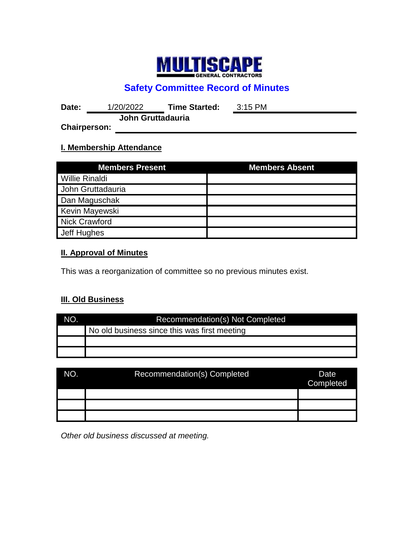

# **Safety Committee Record of Minutes**

**Date:** 1/20/2022 **Time Started:** 3:15 PM **John Gruttadauria**

**Chairperson:**

## **I. Membership Attendance**

| <b>Members Present</b> | <b>Members Absent</b> |
|------------------------|-----------------------|
| <b>Willie Rinaldi</b>  |                       |
| John Gruttadauria      |                       |
| Dan Maguschak          |                       |
| Kevin Mayewski         |                       |
| Nick Crawford          |                       |
| Jeff Hughes            |                       |

## **II. Approval of Minutes**

This was a reorganization of committee so no previous minutes exist.

## **III. Old Business**

| NO. | Recommendation(s) Not Completed              |  |  |
|-----|----------------------------------------------|--|--|
|     | No old business since this was first meeting |  |  |
|     |                                              |  |  |
|     |                                              |  |  |

| NO. | Recommendation(s) Completed | Date<br>Completed |
|-----|-----------------------------|-------------------|
|     |                             |                   |
|     |                             |                   |
|     |                             |                   |

*Other old business discussed at meeting.*